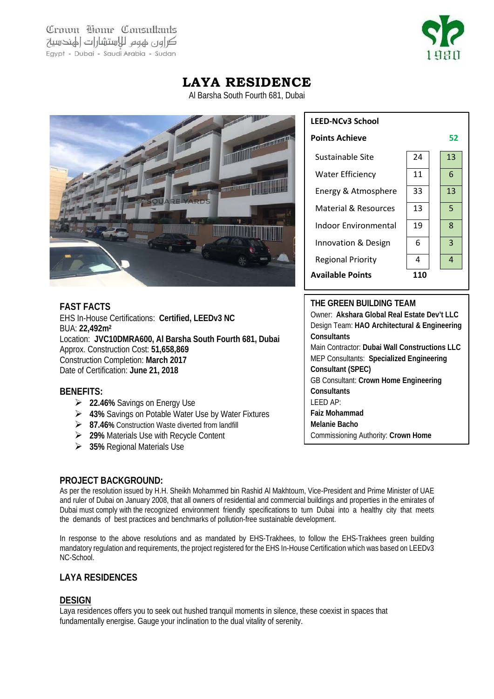Crown Home Consultants كراور عهوم للاستشارات الهندسية Egypt - Dubai - Saudi Arabia - Sudan



## **LAYA RESIDENCE**

Al Barsha South Fourth 681, Dubai



## **FAST FACTS**

EHS In-House Certifications: **Certified, LEEDv3 NC**  BUA: **22,492m2** Location: **JVC10DMRA600, Al Barsha South Fourth 681, Dubai** Approx. Construction Cost: **51,658,869** Construction Completion: **March 2017** Date of Certification: **June 21, 2018**

#### **BENEFITS:**

- **22.46%** Savings on Energy Use
- **43%** Savings on Potable Water Use by Water Fixtures
- **87.46%** Construction Waste diverted from landfill
- **29%** Materials Use with Recycle Content
- **35%** Regional Materials Use

# **LEED-NCv3 School Points Achieve** 52 Sustainable Site 24 13 Water Efficiency | 11 | 6 Energy & Atmosphere 33 13 Material & Resources 13 5 Indoor Environmental  $\begin{array}{|c|c|c|c|c|c|c|c|c|} \hline \end{array}$  8 Innovation & Design  $\begin{array}{|c|c|c|c|c|c|} \hline \end{array}$  6  $\begin{array}{|c|c|c|c|c|} \hline \end{array}$  3 Regional Priority  $\begin{array}{|c|c|c|c|c|c|}\n\hline\n\end{array}$  4  $\begin{array}{|c|c|c|c|c|}\n\hline\n\end{array}$ **Available Points 110**

#### **THE GREEN BUILDING TEAM**

Owner: **Akshara Global Real Estate Dev't LLC** Design Team: **HAO Architectural & Engineering Consultants** Main Contractor: **Dubai Wall Constructions LLC** MEP Consultants: **Specialized Engineering Consultant (SPEC)** GB Consultant: **Crown Home Engineering Consultants** LEED AP: **Faiz Mohammad Melanie Bacho** Commissioning Authority: **Crown Home** 

## **PROJECT BACKGROUND:**

As per the resolution issued by H.H. Sheikh Mohammed bin Rashid Al Makhtoum, Vice-President and Prime Minister of UAE and ruler of Dubai on January 2008, that all owners of residential and commercial buildings and properties in the emirates of Dubai must comply with the recognized environment friendly specifications to turn Dubai into a healthy city that meets the demands of best practices and benchmarks of pollution-free sustainable development.

In response to the above resolutions and as mandated by EHS-Trakhees, to follow the EHS-Trakhees green building mandatory regulation and requirements, the project registered for the EHS In-House Certification which was based on LEEDv3 NC-School.

## **LAYA RESIDENCES**

## **DESIGN**

Laya residences offers you to seek out hushed tranquil moments in silence, these coexist in spaces that fundamentally energise. Gauge your inclination to the dual vitality of serenity.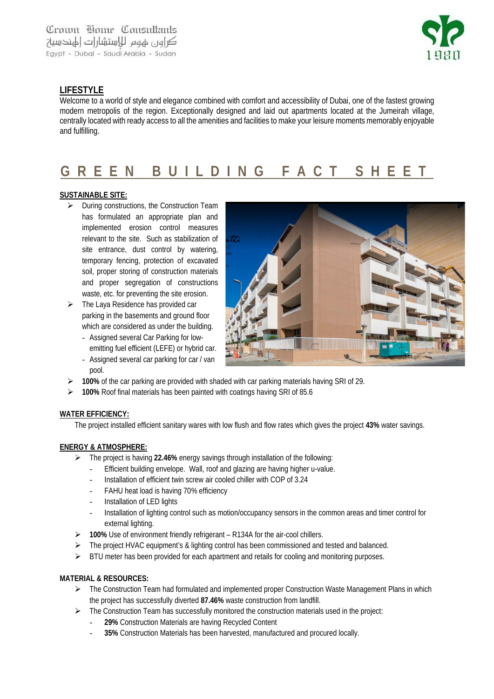

## **LIFESTYLE**

Welcome to a world of style and elegance combined with comfort and accessibility of Dubai, one of the fastest growing modern metropolis of the region. Exceptionally designed and laid out apartments located at the Jumeirah village, centrally located with ready access to all the amenities and facilities to make your leisure moments memorably enjoyable and fulfilling.

# **GREEN BUILDING FACT SHEET**

#### **SUSTAINABLE SITE:**

- $\triangleright$  During constructions, the Construction Team has formulated an appropriate plan and implemented erosion control measures relevant to the site. Such as stabilization of site entrance, dust control by watering, temporary fencing, protection of excavated soil, proper storing of construction materials and proper segregation of constructions waste, etc. for preventing the site erosion.
- $\triangleright$  The Laya Residence has provided car parking in the basements and ground floor which are considered as under the building.
	- Assigned several Car Parking for lowemitting fuel efficient (LEFE) or hybrid car.
	- Assigned several car parking for car / van pool.



- **100%** of the car parking are provided with shaded with car parking materials having SRI of 29.
- **100%** Roof final materials has been painted with coatings having SRI of 85.6

#### **WATER EFFICIENCY:**

The project installed efficient sanitary wares with low flush and flow rates which gives the project **43%** water savings.

#### **ENERGY & ATMOSPHERE:**

- The project is having **22.46%** energy savings through installation of the following:
	- Efficient building envelope. Wall, roof and glazing are having higher u-value.
	- Installation of efficient twin screw air cooled chiller with COP of 3.24
	- FAHU heat load is having 70% efficiency
	- Installation of LED lights
	- Installation of lighting control such as motion/occupancy sensors in the common areas and timer control for external lighting.
- **100%** Use of environment friendly refrigerant R134A for the air-cool chillers.
- $\triangleright$  The project HVAC equipment's & lighting control has been commissioned and tested and balanced.
- $\triangleright$  BTU meter has been provided for each apartment and retails for cooling and monitoring purposes.

#### **MATERIAL & RESOURCES:**

- $\triangleright$  The Construction Team had formulated and implemented proper Construction Waste Management Plans in which the project has successfully diverted **87.46%** waste construction from landfill.
- $\triangleright$  The Construction Team has successfully monitored the construction materials used in the project:
	- 29% Construction Materials are having Recycled Content
	- **35%** Construction Materials has been harvested, manufactured and procured locally.